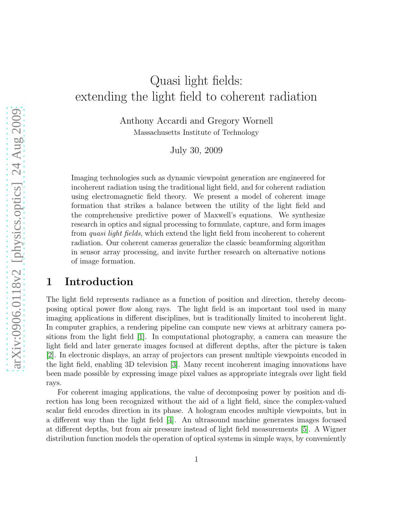# Quasi light fields: extending the light field to coherent radiation

Anthony Accardi and Gregory Wornell Massachusetts Institute of Technology

July 30, 2009

Imaging technologies such as dynamic viewpoint generation are engineered for incoherent radiation using the traditional light field, and for coherent radiation using electromagnetic field theory. We present a model of coherent image formation that strikes a balance between the utility of the light field and the comprehensive predictive power of Maxwell's equations. We synthesize research in optics and signal processing to formulate, capture, and form images from *quasi light fields*, which extend the light field from incoherent to coherent radiation. Our coherent cameras generalize the classic beamforming algorithm in sensor array processing, and invite further research on alternative notions of image formation.

### 1 Introduction

The light field represents radiance as a function of position and direction, thereby decomposing optical power flow along rays. The light field is an important tool used in many imaging applications in different disciplines, but is traditionally limited to incoherent light. In computer graphics, a rendering pipeline can compute new views at arbitrary camera positions from the light field [\[1\]](#page-21-0). In computational photography, a camera can measure the light field and later generate images focused at different depths, after the picture is taken [\[2\]](#page-21-1). In electronic displays, an array of projectors can present multiple viewpoints encoded in the light field, enabling 3D television [\[3\]](#page-21-2). Many recent incoherent imaging innovations have been made possible by expressing image pixel values as appropriate integrals over light field rays.

For coherent imaging applications, the value of decomposing power by position and direction has long been recognized without the aid of a light field, since the complex-valued scalar field encodes direction in its phase. A hologram encodes multiple viewpoints, but in a different way than the light field [\[4\]](#page-21-3). An ultrasound machine generates images focused at different depths, but from air pressure instead of light field measurements [\[5\]](#page-21-4). A Wigner distribution function models the operation of optical systems in simple ways, by conveniently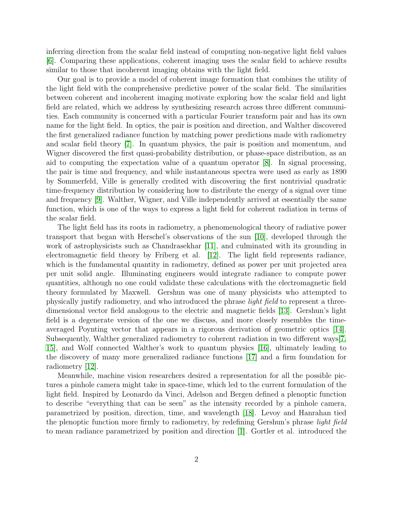inferring direction from the scalar field instead of computing non-negative light field values [\[6\]](#page-21-5). Comparing these applications, coherent imaging uses the scalar field to achieve results similar to those that incoherent imaging obtains with the light field.

Our goal is to provide a model of coherent image formation that combines the utility of the light field with the comprehensive predictive power of the scalar field. The similarities between coherent and incoherent imaging motivate exploring how the scalar field and light field are related, which we address by synthesizing research across three different communities. Each community is concerned with a particular Fourier transform pair and has its own name for the light field. In optics, the pair is position and direction, and Walther discovered the first generalized radiance function by matching power predictions made with radiometry and scalar field theory [\[7\]](#page-22-0). In quantum physics, the pair is position and momentum, and Wigner discovered the first quasi-probability distribution, or phase-space distribution, as an aid to computing the expectation value of a quantum operator [\[8\]](#page-22-1). In signal processing, the pair is time and frequency, and while instantaneous spectra were used as early as 1890 by Sommerfeld, Ville is generally credited with discovering the first nontrivial quadratic time-frequency distribution by considering how to distribute the energy of a signal over time and frequency [\[9\]](#page-22-2). Walther, Wigner, and Ville independently arrived at essentially the same function, which is one of the ways to express a light field for coherent radiation in terms of the scalar field.

The light field has its roots in radiometry, a phenomenological theory of radiative power transport that began with Herschel's observations of the sun [\[10\]](#page-22-3), developed through the work of astrophysicists such as Chandrasekhar [\[11\]](#page-22-4), and culminated with its grounding in electromagnetic field theory by Friberg et al. [\[12\]](#page-22-5). The light field represents radiance, which is the fundamental quantity in radiometry, defined as power per unit projected area per unit solid angle. Illuminating engineers would integrate radiance to compute power quantities, although no one could validate these calculations with the electromagnetic field theory formulated by Maxwell. Gershun was one of many physicists who attempted to physically justify radiometry, and who introduced the phrase *light field* to represent a threedimensional vector field analogous to the electric and magnetic fields [\[13\]](#page-22-6). Gershun's light field is a degenerate version of the one we discuss, and more closely resembles the timeaveraged Poynting vector that appears in a rigorous derivation of geometric optics [\[14\]](#page-22-7). Subsequently, Walther generalized radiometry to coherent radiation in two different ways[\[7,](#page-22-0) [15\]](#page-22-8), and Wolf connected Walther's work to quantum physics [\[16\]](#page-22-9), ultimately leading to the discovery of many more generalized radiance functions [\[17\]](#page-22-10) and a firm foundation for radiometry [\[12\]](#page-22-5).

Meanwhile, machine vision researchers desired a representation for all the possible pictures a pinhole camera might take in space-time, which led to the current formulation of the light field. Inspired by Leonardo da Vinci, Adelson and Bergen defined a plenoptic function to describe "everything that can be seen" as the intensity recorded by a pinhole camera, parametrized by position, direction, time, and wavelength [\[18\]](#page-22-11). Levoy and Hanrahan tied the plenoptic function more firmly to radiometry, by redefining Gershun's phrase *light field* to mean radiance parametrized by position and direction [\[1\]](#page-21-0). Gortler et al. introduced the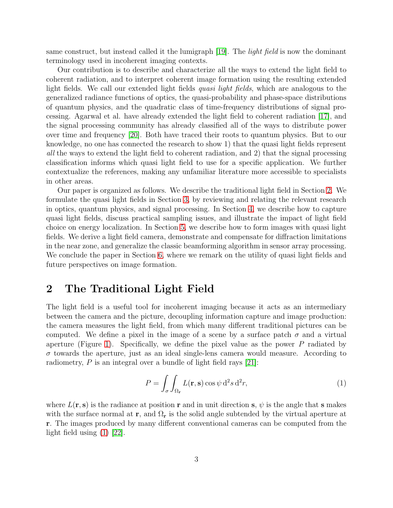same construct, but instead called it the lumigraph [\[19\]](#page-22-12). The *light field* is now the dominant terminology used in incoherent imaging contexts.

Our contribution is to describe and characterize all the ways to extend the light field to coherent radiation, and to interpret coherent image formation using the resulting extended light fields. We call our extended light fields *quasi light fields*, which are analogous to the generalized radiance functions of optics, the quasi-probability and phase-space distributions of quantum physics, and the quadratic class of time-frequency distributions of signal processing. Agarwal et al. have already extended the light field to coherent radiation [\[17\]](#page-22-10), and the signal processing community has already classified all of the ways to distribute power over time and frequency [\[20\]](#page-22-13). Both have traced their roots to quantum physics. But to our knowledge, no one has connected the research to show 1) that the quasi light fields represent *all* the ways to extend the light field to coherent radiation, and 2) that the signal processing classification informs which quasi light field to use for a specific application. We further contextualize the references, making any unfamiliar literature more accessible to specialists in other areas.

Our paper is organized as follows. We describe the traditional light field in Section [2.](#page-2-0) We formulate the quasi light fields in Section [3,](#page-3-0) by reviewing and relating the relevant research in optics, quantum physics, and signal processing. In Section [4,](#page-9-0) we describe how to capture quasi light fields, discuss practical sampling issues, and illustrate the impact of light field choice on energy localization. In Section [5,](#page-13-0) we describe how to form images with quasi light fields. We derive a light field camera, demonstrate and compensate for diffraction limitations in the near zone, and generalize the classic beamforming algorithm in sensor array processing. We conclude the paper in Section [6,](#page-20-0) where we remark on the utility of quasi light fields and future perspectives on image formation.

# <span id="page-2-0"></span>2 The Traditional Light Field

The light field is a useful tool for incoherent imaging because it acts as an intermediary between the camera and the picture, decoupling information capture and image production: the camera measures the light field, from which many different traditional pictures can be computed. We define a pixel in the image of a scene by a surface patch  $\sigma$  and a virtual aperture (Figure [1\)](#page-3-1). Specifically, we define the pixel value as the power  $P$  radiated by  $\sigma$  towards the aperture, just as an ideal single-lens camera would measure. According to radiometry,  $P$  is an integral over a bundle of light field rays [\[21\]](#page-22-14):

<span id="page-2-1"></span>
$$
P = \int_{\sigma} \int_{\Omega_{\mathbf{r}}} L(\mathbf{r}, \mathbf{s}) \cos \psi \, d^2 s \, d^2 r,\tag{1}
$$

where  $L(\mathbf{r}, \mathbf{s})$  is the radiance at position r and in unit direction s,  $\psi$  is the angle that s makes with the surface normal at r, and  $\Omega_r$  is the solid angle subtended by the virtual aperture at r. The images produced by many different conventional cameras can be computed from the light field using [\(1\)](#page-2-1) [\[22\]](#page-22-15).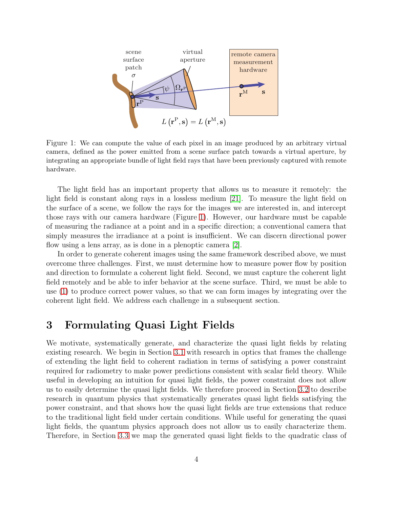

<span id="page-3-1"></span>Figure 1: We can compute the value of each pixel in an image produced by an arbitrary virtual camera, defined as the power emitted from a scene surface patch towards a virtual aperture, by integrating an appropriate bundle of light field rays that have been previously captured with remote hardware.

The light field has an important property that allows us to measure it remotely: the light field is constant along rays in a lossless medium [\[21\]](#page-22-14). To measure the light field on the surface of a scene, we follow the rays for the images we are interested in, and intercept those rays with our camera hardware (Figure [1\)](#page-3-1). However, our hardware must be capable of measuring the radiance at a point and in a specific direction; a conventional camera that simply measures the irradiance at a point is insufficient. We can discern directional power flow using a lens array, as is done in a plenoptic camera [\[2\]](#page-21-1).

In order to generate coherent images using the same framework described above, we must overcome three challenges. First, we must determine how to measure power flow by position and direction to formulate a coherent light field. Second, we must capture the coherent light field remotely and be able to infer behavior at the scene surface. Third, we must be able to use [\(1\)](#page-2-1) to produce correct power values, so that we can form images by integrating over the coherent light field. We address each challenge in a subsequent section.

# <span id="page-3-0"></span>3 Formulating Quasi Light Fields

We motivate, systematically generate, and characterize the quasi light fields by relating existing research. We begin in Section [3.1](#page-4-0) with research in optics that frames the challenge of extending the light field to coherent radiation in terms of satisfying a power constraint required for radiometry to make power predictions consistent with scalar field theory. While useful in developing an intuition for quasi light fields, the power constraint does not allow us to easily determine the quasi light fields. We therefore proceed in Section [3.2](#page-5-0) to describe research in quantum physics that systematically generates quasi light fields satisfying the power constraint, and that shows how the quasi light fields are true extensions that reduce to the traditional light field under certain conditions. While useful for generating the quasi light fields, the quantum physics approach does not allow us to easily characterize them. Therefore, in Section [3.3](#page-7-0) we map the generated quasi light fields to the quadratic class of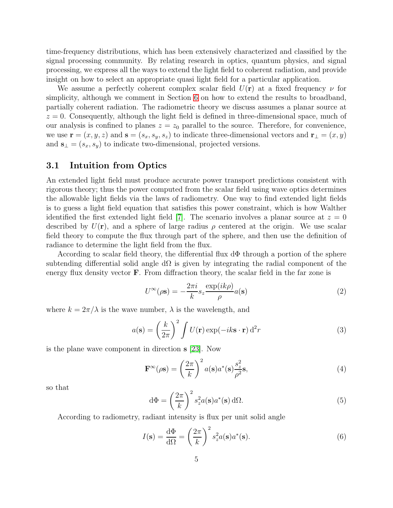time-frequency distributions, which has been extensively characterized and classified by the signal processing community. By relating research in optics, quantum physics, and signal processing, we express all the ways to extend the light field to coherent radiation, and provide insight on how to select an appropriate quasi light field for a particular application.

We assume a perfectly coherent complex scalar field  $U(\mathbf{r})$  at a fixed frequency  $\nu$  for simplicity, although we comment in Section [6](#page-20-0) on how to extend the results to broadband, partially coherent radiation. The radiometric theory we discuss assumes a planar source at  $z = 0$ . Consequently, although the light field is defined in three-dimensional space, much of our analysis is confined to planes  $z = z_0$  parallel to the source. Therefore, for convenience, we use  $\mathbf{r} = (x, y, z)$  and  $\mathbf{s} = (s_x, s_y, s_z)$  to indicate three-dimensional vectors and  $\mathbf{r}_{\perp} = (x, y)$ and  $\mathbf{s}_{\perp} = (s_x, s_y)$  to indicate two-dimensional, projected versions.

### <span id="page-4-0"></span>3.1 Intuition from Optics

An extended light field must produce accurate power transport predictions consistent with rigorous theory; thus the power computed from the scalar field using wave optics determines the allowable light fields via the laws of radiometry. One way to find extended light fields is to guess a light field equation that satisfies this power constraint, which is how Walther identified the first extended light field [\[7\]](#page-22-0). The scenario involves a planar source at  $z = 0$ described by  $U(\mathbf{r})$ , and a sphere of large radius  $\rho$  centered at the origin. We use scalar field theory to compute the flux through part of the sphere, and then use the definition of radiance to determine the light field from the flux.

According to scalar field theory, the differential flux dΦ through a portion of the sphere subtending differential solid angle d $\Omega$  is given by integrating the radial component of the energy flux density vector  $\bf{F}$ . From diffraction theory, the scalar field in the far zone is

<span id="page-4-3"></span>
$$
U^{\infty}(\rho \mathbf{s}) = -\frac{2\pi i}{k} s_z \frac{\exp(ik\rho)}{\rho} a(\mathbf{s})
$$
\n(2)

where  $k = 2\pi/\lambda$  is the wave number,  $\lambda$  is the wavelength, and

<span id="page-4-2"></span>
$$
a(\mathbf{s}) = \left(\frac{k}{2\pi}\right)^2 \int U(\mathbf{r}) \exp(-ik\mathbf{s}\cdot\mathbf{r}) d^2r
$$
 (3)

is the plane wave component in direction s [\[23\]](#page-22-16). Now

$$
\mathbf{F}^{\infty}(\rho \mathbf{s}) = \left(\frac{2\pi}{k}\right)^2 a(\mathbf{s}) a^*(\mathbf{s}) \frac{s_z^2}{\rho^2} \mathbf{s},\tag{4}
$$

so that

$$
d\Phi = \left(\frac{2\pi}{k}\right)^2 s_z^2 a(s) a^*(s) d\Omega.
$$
 (5)

According to radiometry, radiant intensity is flux per unit solid angle

<span id="page-4-1"></span>
$$
I(\mathbf{s}) = \frac{\mathrm{d}\Phi}{\mathrm{d}\Omega} = \left(\frac{2\pi}{k}\right)^2 s_z^2 a(\mathbf{s}) a^*(\mathbf{s}).\tag{6}
$$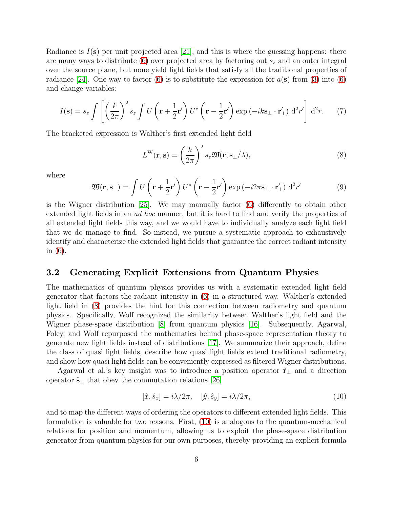Radiance is  $I(\mathbf{s})$  per unit projected area [\[21\]](#page-22-14), and this is where the guessing happens: there are many ways to distribute [\(6\)](#page-4-1) over projected area by factoring out  $s<sub>z</sub>$  and an outer integral over the source plane, but none yield light fields that satisfy all the traditional properties of radiance [\[24\]](#page-22-17). One way to factor [\(6\)](#page-4-1) is to substitute the expression for  $a(s)$  from [\(3\)](#page-4-2) into (6) and change variables:

$$
I(\mathbf{s}) = s_z \int \left[ \left( \frac{k}{2\pi} \right)^2 s_z \int U \left( \mathbf{r} + \frac{1}{2} \mathbf{r}' \right) U^* \left( \mathbf{r} - \frac{1}{2} \mathbf{r}' \right) \exp \left( -ik \mathbf{s}_\perp \cdot \mathbf{r}'_\perp \right) d^2 r' \right] d^2 r. \tag{7}
$$

The bracketed expression is Walther's first extended light field

<span id="page-5-1"></span>
$$
L^{\mathcal{W}}(\mathbf{r}, \mathbf{s}) = \left(\frac{k}{2\pi}\right)^2 s_z \mathfrak{W}(\mathbf{r}, \mathbf{s}_\perp/\lambda),\tag{8}
$$

where

$$
\mathfrak{W}(\mathbf{r}, \mathbf{s}_{\perp}) = \int U\left(\mathbf{r} + \frac{1}{2}\mathbf{r}'\right) U^* \left(\mathbf{r} - \frac{1}{2}\mathbf{r}'\right) \exp\left(-i2\pi\mathbf{s}_{\perp} \cdot \mathbf{r}'_{\perp}\right) d^2 r'
$$
(9)

is the Wigner distribution [\[25\]](#page-23-0). We may manually factor [\(6\)](#page-4-1) differently to obtain other extended light fields in an *ad hoc* manner, but it is hard to find and verify the properties of all extended light fields this way, and we would have to individually analyze each light field that we do manage to find. So instead, we pursue a systematic approach to exhaustively identify and characterize the extended light fields that guarantee the correct radiant intensity in [\(6\)](#page-4-1).

#### <span id="page-5-0"></span>3.2 Generating Explicit Extensions from Quantum Physics

The mathematics of quantum physics provides us with a systematic extended light field generator that factors the radiant intensity in [\(6\)](#page-4-1) in a structured way. Walther's extended light field in [\(8\)](#page-5-1) provides the hint for this connection between radiometry and quantum physics. Specifically, Wolf recognized the similarity between Walther's light field and the Wigner phase-space distribution [\[8\]](#page-22-1) from quantum physics [\[16\]](#page-22-9). Subsequently, Agarwal, Foley, and Wolf repurposed the mathematics behind phase-space representation theory to generate new light fields instead of distributions [\[17\]](#page-22-10). We summarize their approach, define the class of quasi light fields, describe how quasi light fields extend traditional radiometry, and show how quasi light fields can be conveniently expressed as filtered Wigner distributions.

Agarwal et al.'s key insight was to introduce a position operator  $\hat{\mathbf{r}}_{\perp}$  and a direction operator  $\hat{\mathbf{s}}_{\perp}$  that obey the commutation relations [\[26\]](#page-23-1)

<span id="page-5-2"></span>
$$
[\hat{x}, \hat{s}_x] = i\lambda/2\pi, \quad [\hat{y}, \hat{s}_y] = i\lambda/2\pi,\tag{10}
$$

and to map the different ways of ordering the operators to different extended light fields. This formulation is valuable for two reasons. First, [\(10\)](#page-5-2) is analogous to the quantum-mechanical relations for position and momentum, allowing us to exploit the phase-space distribution generator from quantum physics for our own purposes, thereby providing an explicit formula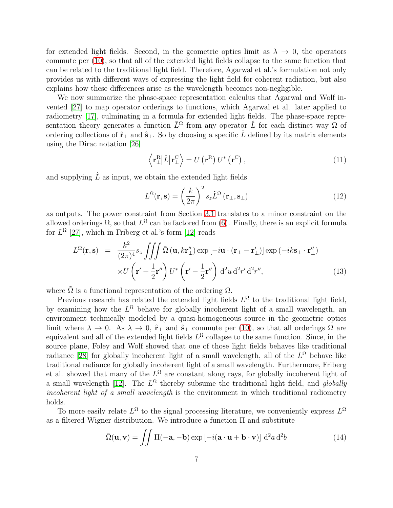for extended light fields. Second, in the geometric optics limit as  $\lambda \to 0$ , the operators commute per [\(10\)](#page-5-2), so that all of the extended light fields collapse to the same function that can be related to the traditional light field. Therefore, Agarwal et al.'s formulation not only provides us with different ways of expressing the light field for coherent radiation, but also explains how these differences arise as the wavelength becomes non-negligible.

We now summarize the phase-space representation calculus that Agarwal and Wolf invented [\[27\]](#page-23-2) to map operator orderings to functions, which Agarwal et al. later applied to radiometry [\[17\]](#page-22-10), culminating in a formula for extended light fields. The phase-space representation theory generates a function  $\tilde{L}^{\Omega}$  from any operator  $\hat{L}$  for each distinct way  $\Omega$  of ordering collections of  $\hat{\mathbf{r}}_{\perp}$  and  $\hat{\mathbf{s}}_{\perp}$ . So by choosing a specific  $\hat{L}$  defined by its matrix elements using the Dirac notation [\[26\]](#page-23-1)

$$
\left\langle \mathbf{r}_{\perp}^{\mathrm{R}} \right| \hat{L} \left| \mathbf{r}_{\perp}^{\mathrm{C}} \right\rangle = U \left( \mathbf{r}^{\mathrm{R}} \right) U^* \left( \mathbf{r}^{\mathrm{C}} \right), \tag{11}
$$

and supplying  $\hat{L}$  as input, we obtain the extended light fields

$$
L^{\Omega}(\mathbf{r}, \mathbf{s}) = \left(\frac{k}{2\pi}\right)^2 s_z \tilde{L}^{\Omega}(\mathbf{r}_{\perp}, \mathbf{s}_{\perp})
$$
 (12)

as outputs. The power constraint from Section [3.1](#page-4-0) translates to a minor constraint on the allowed orderings  $\Omega$ , so that  $L^{\Omega}$  can be factored from [\(6\)](#page-4-1). Finally, there is an explicit formula for  $L^{\Omega}$  [\[27\]](#page-23-2), which in Friberg et al.'s form [\[12\]](#page-22-5) reads

<span id="page-6-0"></span>
$$
L^{\Omega}(\mathbf{r}, \mathbf{s}) = \frac{k^2}{(2\pi)^4} s_z \iiint \tilde{\Omega} (\mathbf{u}, k\mathbf{r}_{\perp}^{"}) \exp[-i\mathbf{u} \cdot (\mathbf{r}_{\perp} - \mathbf{r}_{\perp}^{"})] \exp(-ik\mathbf{s}_{\perp} \cdot \mathbf{r}_{\perp}^{"})
$$

$$
\times U \left(\mathbf{r}' + \frac{1}{2}\mathbf{r}^{"}\right) U^* \left(\mathbf{r}' - \frac{1}{2}\mathbf{r}^{"}\right) d^2 u d^2 r' d^2 r'', \tag{13}
$$

where  $\tilde{\Omega}$  is a functional representation of the ordering  $\Omega$ .

Previous research has related the extended light fields  $L^{\Omega}$  to the traditional light field, by examining how the  $L^{\Omega}$  behave for globally incoherent light of a small wavelength, an environment technically modeled by a quasi-homogeneous source in the geometric optics limit where  $\lambda \to 0$ . As  $\lambda \to 0$ ,  $\hat{\mathbf{r}}_{\perp}$  and  $\hat{\mathbf{s}}_{\perp}$  commute per [\(10\)](#page-5-2), so that all orderings  $\Omega$  are equivalent and all of the extended light fields  $L^{\Omega}$  collapse to the same function. Since, in the source plane, Foley and Wolf showed that one of those light fields behaves like traditional radiance [\[28\]](#page-23-3) for globally incoherent light of a small wavelength, all of the  $L^{\Omega}$  behave like traditional radiance for globally incoherent light of a small wavelength. Furthermore, Friberg et al. showed that many of the  $L^{\Omega}$  are constant along rays, for globally incoherent light of a small wavelength  $[12]$ . The  $L^{\Omega}$  thereby subsume the traditional light field, and *globally incoherent light of a small wavelength* is the environment in which traditional radiometry holds.

To more easily relate  $L^{\Omega}$  to the signal processing literature, we conveniently express  $L^{\Omega}$ as a filtered Wigner distribution. We introduce a function Π and substitute

$$
\tilde{\Omega}(\mathbf{u}, \mathbf{v}) = \iint \Pi(-\mathbf{a}, -\mathbf{b}) \exp\left[-i(\mathbf{a} \cdot \mathbf{u} + \mathbf{b} \cdot \mathbf{v})\right] d^2 a d^2 b \tag{14}
$$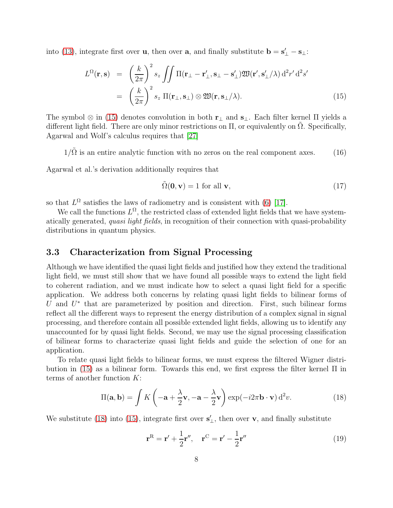into [\(13\)](#page-6-0), integrate first over **u**, then over **a**, and finally substitute  $\mathbf{b} = \mathbf{s}'_{\perp} - \mathbf{s}_{\perp}$ :

<span id="page-7-1"></span>
$$
L^{\Omega}(\mathbf{r}, \mathbf{s}) = \left(\frac{k}{2\pi}\right)^2 s_z \iint \Pi(\mathbf{r}_{\perp} - \mathbf{r}'_{\perp}, \mathbf{s}_{\perp} - \mathbf{s}'_{\perp}) \mathfrak{W}(\mathbf{r}', \mathbf{s}'_{\perp}/\lambda) d^2 r' d^2 s'
$$
  
= 
$$
\left(\frac{k}{2\pi}\right)^2 s_z \Pi(\mathbf{r}_{\perp}, \mathbf{s}_{\perp}) \otimes \mathfrak{W}(\mathbf{r}, \mathbf{s}_{\perp}/\lambda).
$$
 (15)

The symbol ⊗ in [\(15\)](#page-7-1) denotes convolution in both  $\mathbf{r}_{\perp}$  and  $\mathbf{s}_{\perp}$ . Each filter kernel  $\Pi$  yields a different light field. There are only minor restrictions on  $\Pi$ , or equivalently on  $\Omega$ . Specifically, Agarwal and Wolf's calculus requires that [\[27\]](#page-23-2)

<span id="page-7-4"></span> $1/\tilde{\Omega}$  is an entire analytic function with no zeros on the real component axes. (16)

Agarwal et al.'s derivation additionally requires that

<span id="page-7-3"></span>
$$
\tilde{\Omega}(\mathbf{0}, \mathbf{v}) = 1 \text{ for all } \mathbf{v},\tag{17}
$$

so that  $L^{\Omega}$  satisfies the laws of radiometry and is consistent with [\(6\)](#page-4-1) [\[17\]](#page-22-10).

We call the functions  $L^{\Omega}$ , the restricted class of extended light fields that we have systematically generated, *quasi light fields*, in recognition of their connection with quasi-probability distributions in quantum physics.

#### <span id="page-7-0"></span>3.3 Characterization from Signal Processing

Although we have identified the quasi light fields and justified how they extend the traditional light field, we must still show that we have found all possible ways to extend the light field to coherent radiation, and we must indicate how to select a quasi light field for a specific application. We address both concerns by relating quasi light fields to bilinear forms of U and  $U^*$  that are parameterized by position and direction. First, such bilinear forms reflect all the different ways to represent the energy distribution of a complex signal in signal processing, and therefore contain all possible extended light fields, allowing us to identify any unaccounted for by quasi light fields. Second, we may use the signal processing classification of bilinear forms to characterize quasi light fields and guide the selection of one for an application.

To relate quasi light fields to bilinear forms, we must express the filtered Wigner distribution in [\(15\)](#page-7-1) as a bilinear form. Towards this end, we first express the filter kernel Π in terms of another function  $K$ :

<span id="page-7-2"></span>
$$
\Pi(\mathbf{a}, \mathbf{b}) = \int K \left( -\mathbf{a} + \frac{\lambda}{2} \mathbf{v}, -\mathbf{a} - \frac{\lambda}{2} \mathbf{v} \right) \exp(-i2\pi \mathbf{b} \cdot \mathbf{v}) d^2 v.
$$
 (18)

We substitute [\(18\)](#page-7-2) into [\(15\)](#page-7-1), integrate first over  $\mathbf{s}'_{\perp}$ , then over  $\mathbf{v}$ , and finally substitute

$$
\mathbf{r}^{\mathrm{R}} = \mathbf{r}' + \frac{1}{2}\mathbf{r}'', \quad \mathbf{r}^{\mathrm{C}} = \mathbf{r}' - \frac{1}{2}\mathbf{r}''
$$
 (19)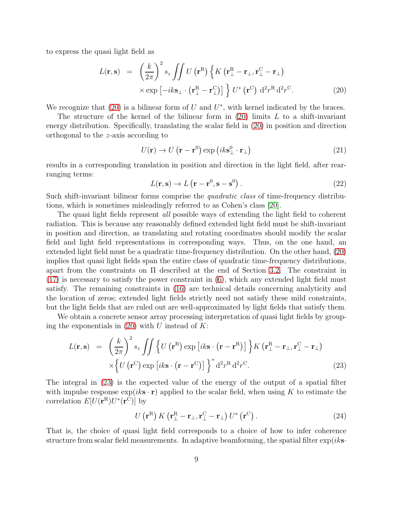to express the quasi light field as

<span id="page-8-0"></span>
$$
L(\mathbf{r}, \mathbf{s}) = \left(\frac{k}{2\pi}\right)^2 s_z \iint U(\mathbf{r}^R) \left\{ K \left(\mathbf{r}^R_{\perp} - \mathbf{r}_{\perp}, \mathbf{r}^C_{\perp} - \mathbf{r}_{\perp} \right) \times \exp\left[-ik\mathbf{s}_{\perp} \cdot \left(\mathbf{r}^R_{\perp} - \mathbf{r}^C_{\perp}\right)\right] \right\} U^* (\mathbf{r}^C) d^2 r^R d^2 r^C.
$$
 (20)

We recognize that  $(20)$  is a bilinear form of U and  $U^*$ , with kernel indicated by the braces.

The structure of the kernel of the bilinear form in  $(20)$  limits L to a shift-invariant energy distribution. Specifically, translating the scalar field in [\(20\)](#page-8-0) in position and direction orthogonal to the z-axis according to

$$
U(\mathbf{r}) \to U(\mathbf{r} - \mathbf{r}^0) \exp\left(ik\mathbf{s}_{\perp}^0 \cdot \mathbf{r}_{\perp}\right) \tag{21}
$$

results in a corresponding translation in position and direction in the light field, after rearranging terms:

$$
L(\mathbf{r}, \mathbf{s}) \to L(\mathbf{r} - \mathbf{r}^0, \mathbf{s} - \mathbf{s}^0).
$$
 (22)

Such shift-invariant bilinear forms comprise the *quadratic class* of time-frequency distributions, which is sometimes misleadingly referred to as Cohen's class [\[20\]](#page-22-13).

The quasi light fields represent *all* possible ways of extending the light field to coherent radiation. This is because any reasonably defined extended light field must be shift-invariant in position and direction, as translating and rotating coordinates should modify the scalar field and light field representations in corresponding ways. Thus, on the one hand, an extended light field must be a quadratic time-frequency distribution. On the other hand, [\(20\)](#page-8-0) implies that quasi light fields span the entire class of quadratic time-frequency distributions, apart from the constraints on Π described at the end of Section [3.2.](#page-5-0) The constraint in  $(17)$  is necessary to satisfy the power constraint in  $(6)$ , which any extended light field must satisfy. The remaining constraints in [\(16\)](#page-7-4) are technical details concerning analyticity and the location of zeros; extended light fields strictly need not satisfy these mild constraints, but the light fields that are ruled out are well-approximated by light fields that satisfy them.

We obtain a concrete sensor array processing interpretation of quasi light fields by grouping the exponentials in  $(20)$  with U instead of K:

<span id="page-8-1"></span>
$$
L(\mathbf{r}, \mathbf{s}) = \left(\frac{k}{2\pi}\right)^2 s_z \iint \left\{ U\left(\mathbf{r}^{\mathrm{R}}\right) \exp\left[i k \mathbf{s} \cdot (\mathbf{r} - \mathbf{r}^{\mathrm{R}})\right] \right\} K\left(\mathbf{r}^{\mathrm{R}}_{\perp} - \mathbf{r}_{\perp}, \mathbf{r}^{\mathrm{C}}_{\perp} - \mathbf{r}_{\perp}\right) \times \left\{ U\left(\mathbf{r}^{\mathrm{C}}\right) \exp\left[i k \mathbf{s} \cdot (\mathbf{r} - \mathbf{r}^{\mathrm{C}})\right] \right\}^* d^2 r^{\mathrm{R}} d^2 r^{\mathrm{C}}.
$$
 (23)

The integral in [\(23\)](#page-8-1) is the expected value of the energy of the output of a spatial filter with impulse response  $\exp(ik\mathbf{s}\cdot\mathbf{r})$  applied to the scalar field, when using K to estimate the correlation  $E[U(\mathbf{r}^{\text{R}})U^*(\mathbf{r}^{\text{C}})]$  by

$$
U\left(\mathbf{r}^{\mathrm{R}}\right)K\left(\mathbf{r}_{\perp}^{\mathrm{R}}-\mathbf{r}_{\perp},\mathbf{r}_{\perp}^{\mathrm{C}}-\mathbf{r}_{\perp}\right)U^{*}\left(\mathbf{r}^{\mathrm{C}}\right). \tag{24}
$$

That is, the choice of quasi light field corresponds to a choice of how to infer coherence structure from scalar field measurements. In adaptive beamforming, the spatial filter  $\exp(ik\mathbf{s}\cdot\mathbf{r})$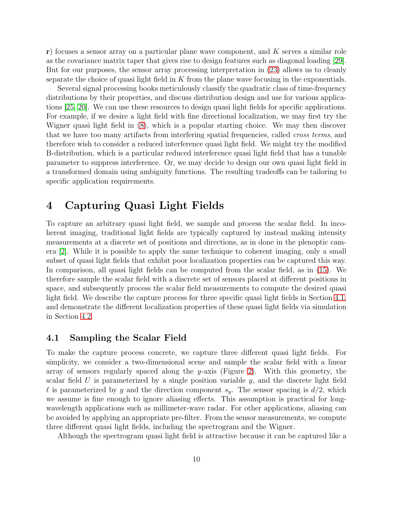$r$ ) focuses a sensor array on a particular plane wave component, and K serves a similar role as the covariance matrix taper that gives rise to design features such as diagonal loading [\[29\]](#page-23-4). But for our purposes, the sensor array processing interpretation in [\(23\)](#page-8-1) allows us to cleanly separate the choice of quasi light field in  $K$  from the plane wave focusing in the exponentials.

Several signal processing books meticulously classify the quadratic class of time-frequency distributions by their properties, and discuss distribution design and use for various applications [\[25,](#page-23-0) [20\]](#page-22-13). We can use these resources to design quasi light fields for specific applications. For example, if we desire a light field with fine directional localization, we may first try the Wigner quasi light field in [\(8\)](#page-5-1), which is a popular starting choice. We may then discover that we have too many artifacts from interfering spatial frequencies, called *cross terms*, and therefore wish to consider a reduced interference quasi light field. We might try the modified B-distribution, which is a particular reduced interference quasi light field that has a tunable parameter to suppress interference. Or, we may decide to design our own quasi light field in a transformed domain using ambiguity functions. The resulting tradeoffs can be tailoring to specific application requirements.

# <span id="page-9-0"></span>4 Capturing Quasi Light Fields

To capture an arbitrary quasi light field, we sample and process the scalar field. In incoherent imaging, traditional light fields are typically captured by instead making intensity measurements at a discrete set of positions and directions, as in done in the plenoptic camera [\[2\]](#page-21-1). While it is possible to apply the same technique to coherent imaging, only a small subset of quasi light fields that exhibit poor localization properties can be captured this way. In comparison, all quasi light fields can be computed from the scalar field, as in [\(15\)](#page-7-1). We therefore sample the scalar field with a discrete set of sensors placed at different positions in space, and subsequently process the scalar field measurements to compute the desired quasi light field. We describe the capture process for three specific quasi light fields in Section [4.1,](#page-9-1) and demonstrate the different localization properties of these quasi light fields via simulation in Section [4.2.](#page-11-0)

#### <span id="page-9-1"></span>4.1 Sampling the Scalar Field

To make the capture process concrete, we capture three different quasi light fields. For simplicity, we consider a two-dimensional scene and sample the scalar field with a linear array of sensors regularly spaced along the y-axis (Figure [2\)](#page-10-0). With this geometry, the scalar field U is parameterized by a single position variable  $y$ , and the discrete light field l is parameterized by y and the direction component  $s_y$ . The sensor spacing is  $d/2$ , which we assume is fine enough to ignore aliasing effects. This assumption is practical for longwavelength applications such as millimeter-wave radar. For other applications, aliasing can be avoided by applying an appropriate pre-filter. From the sensor measurements, we compute three different quasi light fields, including the spectrogram and the Wigner.

Although the spectrogram quasi light field is attractive because it can be captured like a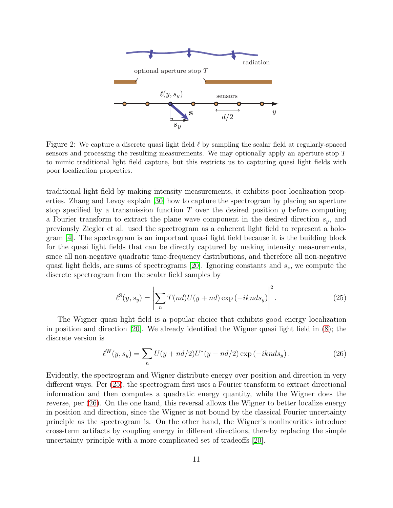

<span id="page-10-0"></span>Figure 2: We capture a discrete quasi light field  $\ell$  by sampling the scalar field at regularly-spaced sensors and processing the resulting measurements. We may optionally apply an aperture stop T to mimic traditional light field capture, but this restricts us to capturing quasi light fields with poor localization properties.

traditional light field by making intensity measurements, it exhibits poor localization properties. Zhang and Levoy explain [\[30\]](#page-23-5) how to capture the spectrogram by placing an aperture stop specified by a transmission function  $T$  over the desired position  $y$  before computing a Fourier transform to extract the plane wave component in the desired direction  $s_y$ , and previously Ziegler et al. used the spectrogram as a coherent light field to represent a hologram [\[4\]](#page-21-3). The spectrogram is an important quasi light field because it is the building block for the quasi light fields that can be directly captured by making intensity measurements, since all non-negative quadratic time-frequency distributions, and therefore all non-negative quasi light fields, are sums of spectrograms [\[20\]](#page-22-13). Ignoring constants and  $s_z$ , we compute the discrete spectrogram from the scalar field samples by

<span id="page-10-1"></span>
$$
\ell^{S}(y, s_{y}) = \left| \sum_{n} T(nd)U(y + nd) \exp(-iknds_{y}) \right|^{2}.
$$
 (25)

The Wigner quasi light field is a popular choice that exhibits good energy localization in position and direction [\[20\]](#page-22-13). We already identified the Wigner quasi light field in [\(8\)](#page-5-1); the discrete version is

<span id="page-10-2"></span>
$$
\ell^{W}(y, s_y) = \sum_{n} U(y + nd/2)U^*(y - nd/2) \exp(-iknds_y).
$$
 (26)

Evidently, the spectrogram and Wigner distribute energy over position and direction in very different ways. Per [\(25\)](#page-10-1), the spectrogram first uses a Fourier transform to extract directional information and then computes a quadratic energy quantity, while the Wigner does the reverse, per [\(26\)](#page-10-2). On the one hand, this reversal allows the Wigner to better localize energy in position and direction, since the Wigner is not bound by the classical Fourier uncertainty principle as the spectrogram is. On the other hand, the Wigner's nonlinearities introduce cross-term artifacts by coupling energy in different directions, thereby replacing the simple uncertainty principle with a more complicated set of tradeoffs [\[20\]](#page-22-13).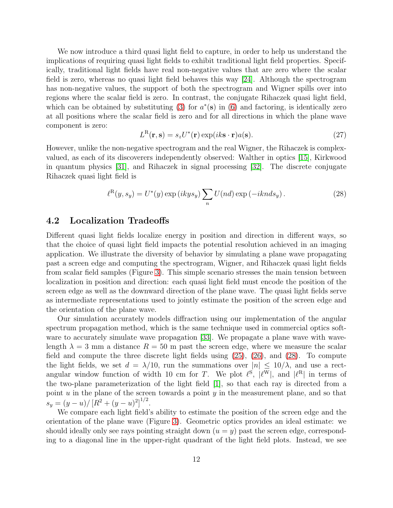We now introduce a third quasi light field to capture, in order to help us understand the implications of requiring quasi light fields to exhibit traditional light field properties. Specifically, traditional light fields have real non-negative values that are zero where the scalar field is zero, whereas no quasi light field behaves this way [\[24\]](#page-22-17). Although the spectrogram has non-negative values, the support of both the spectrogram and Wigner spills over into regions where the scalar field is zero. In contrast, the conjugate Rihaczek quasi light field, which can be obtained by substituting [\(3\)](#page-4-2) for  $a^*(s)$  in [\(6\)](#page-4-1) and factoring, is identically zero at all positions where the scalar field is zero and for all directions in which the plane wave component is zero:

<span id="page-11-2"></span>
$$
L^{R}(\mathbf{r}, \mathbf{s}) = s_z U^*(\mathbf{r}) \exp(ik\mathbf{s} \cdot \mathbf{r}) a(\mathbf{s}).
$$
 (27)

However, unlike the non-negative spectrogram and the real Wigner, the Rihaczek is complexvalued, as each of its discoverers independently observed: Walther in optics [\[15\]](#page-22-8), Kirkwood in quantum physics [\[31\]](#page-23-6), and Rihaczek in signal processing [\[32\]](#page-23-7). The discrete conjugate Rihaczek quasi light field is

<span id="page-11-1"></span>
$$
\ell^{R}(y, s_{y}) = U^{*}(y) \exp(ikys_{y}) \sum_{n} U(nd) \exp(-iknds_{y}). \qquad (28)
$$

#### <span id="page-11-0"></span>4.2 Localization Tradeoffs

Different quasi light fields localize energy in position and direction in different ways, so that the choice of quasi light field impacts the potential resolution achieved in an imaging application. We illustrate the diversity of behavior by simulating a plane wave propagating past a screen edge and computing the spectrogram, Wigner, and Rihaczek quasi light fields from scalar field samples (Figure [3\)](#page-12-0). This simple scenario stresses the main tension between localization in position and direction: each quasi light field must encode the position of the screen edge as well as the downward direction of the plane wave. The quasi light fields serve as intermediate representations used to jointly estimate the position of the screen edge and the orientation of the plane wave.

Our simulation accurately models diffraction using our implementation of the angular spectrum propagation method, which is the same technique used in commercial optics soft-ware to accurately simulate wave propagation [\[33\]](#page-23-8). We propagate a plane wave with wavelength  $\lambda = 3$  mm a distance  $R = 50$  m past the screen edge, where we measure the scalar field and compute the three discrete light fields using [\(25\)](#page-10-1), [\(26\)](#page-10-2), and [\(28\)](#page-11-1). To compute the light fields, we set  $d = \lambda/10$ , run the summations over  $|n| \leq 10/\lambda$ , and use a rectangular window function of width 10 cm for T. We plot  $\ell^{S}$ ,  $|\ell^{W}|$ , and  $|\ell^{R}|$  in terms of the two-plane parameterization of the light field [\[1\]](#page-21-0), so that each ray is directed from a point  $u$  in the plane of the screen towards a point  $y$  in the measurement plane, and so that  $s_y = (y - u)/[R^2 + (y - u)^2]^{1/2}.$ 

We compare each light field's ability to estimate the position of the screen edge and the orientation of the plane wave (Figure [3\)](#page-12-0). Geometric optics provides an ideal estimate: we should ideally only see rays pointing straight down  $(u = y)$  past the screen edge, corresponding to a diagonal line in the upper-right quadrant of the light field plots. Instead, we see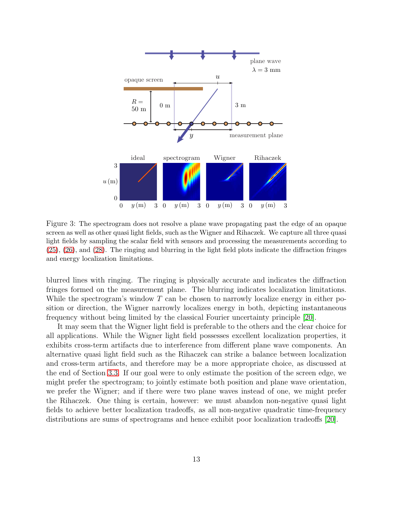

<span id="page-12-0"></span>Figure 3: The spectrogram does not resolve a plane wave propagating past the edge of an opaque screen as well as other quasi light fields, such as the Wigner and Rihaczek. We capture all three quasi light fields by sampling the scalar field with sensors and processing the measurements according to [\(25\)](#page-10-1), [\(26\)](#page-10-2), and [\(28\)](#page-11-1). The ringing and blurring in the light field plots indicate the diffraction fringes and energy localization limitations.

blurred lines with ringing. The ringing is physically accurate and indicates the diffraction fringes formed on the measurement plane. The blurring indicates localization limitations. While the spectrogram's window  $T$  can be chosen to narrowly localize energy in either position or direction, the Wigner narrowly localizes energy in both, depicting instantaneous frequency without being limited by the classical Fourier uncertainty principle [\[20\]](#page-22-13).

It may seem that the Wigner light field is preferable to the others and the clear choice for all applications. While the Wigner light field possesses excellent localization properties, it exhibits cross-term artifacts due to interference from different plane wave components. An alternative quasi light field such as the Rihaczek can strike a balance between localization and cross-term artifacts, and therefore may be a more appropriate choice, as discussed at the end of Section [3.3.](#page-7-0) If our goal were to only estimate the position of the screen edge, we might prefer the spectrogram; to jointly estimate both position and plane wave orientation, we prefer the Wigner; and if there were two plane waves instead of one, we might prefer the Rihaczek. One thing is certain, however: we must abandon non-negative quasi light fields to achieve better localization tradeoffs, as all non-negative quadratic time-frequency distributions are sums of spectrograms and hence exhibit poor localization tradeoffs [\[20\]](#page-22-13).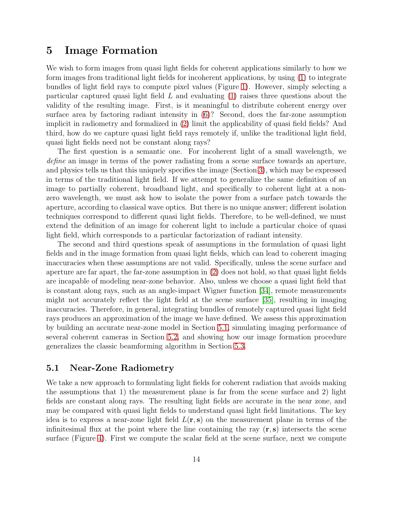# <span id="page-13-0"></span>5 Image Formation

We wish to form images from quasi light fields for coherent applications similarly to how we form images from traditional light fields for incoherent applications, by using [\(1\)](#page-2-1) to integrate bundles of light field rays to compute pixel values (Figure [1\)](#page-3-1). However, simply selecting a particular captured quasi light field  $L$  and evaluating  $(1)$  raises three questions about the validity of the resulting image. First, is it meaningful to distribute coherent energy over surface area by factoring radiant intensity in [\(6\)](#page-4-1)? Second, does the far-zone assumption implicit in radiometry and formalized in [\(2\)](#page-4-3) limit the applicability of quasi field fields? And third, how do we capture quasi light field rays remotely if, unlike the traditional light field, quasi light fields need not be constant along rays?

The first question is a semantic one. For incoherent light of a small wavelength, we *define* an image in terms of the power radiating from a scene surface towards an aperture, and physics tells us that this uniquely specifies the image (Section [3\)](#page-3-0), which may be expressed in terms of the traditional light field. If we attempt to generalize the same definition of an image to partially coherent, broadband light, and specifically to coherent light at a nonzero wavelength, we must ask how to isolate the power from a surface patch towards the aperture, according to classical wave optics. But there is no unique answer; different isolation techniques correspond to different quasi light fields. Therefore, to be well-defined, we must extend the definition of an image for coherent light to include a particular choice of quasi light field, which corresponds to a particular factorization of radiant intensity.

The second and third questions speak of assumptions in the formulation of quasi light fields and in the image formation from quasi light fields, which can lead to coherent imaging inaccuracies when these assumptions are not valid. Specifically, unless the scene surface and aperture are far apart, the far-zone assumption in [\(2\)](#page-4-3) does not hold, so that quasi light fields are incapable of modeling near-zone behavior. Also, unless we choose a quasi light field that is constant along rays, such as an angle-impact Wigner function [\[34\]](#page-23-9), remote measurements might not accurately reflect the light field at the scene surface [\[35\]](#page-23-10), resulting in imaging inaccuracies. Therefore, in general, integrating bundles of remotely captured quasi light field rays produces an approximation of the image we have defined. We assess this approximation by building an accurate near-zone model in Section [5.1,](#page-13-1) simulating imaging performance of several coherent cameras in Section [5.2,](#page-16-0) and showing how our image formation procedure generalizes the classic beamforming algorithm in Section [5.3.](#page-18-0)

### <span id="page-13-1"></span>5.1 Near-Zone Radiometry

We take a new approach to formulating light fields for coherent radiation that avoids making the assumptions that 1) the measurement plane is far from the scene surface and 2) light fields are constant along rays. The resulting light fields are accurate in the near zone, and may be compared with quasi light fields to understand quasi light field limitations. The key idea is to express a near-zone light field  $L(r, s)$  on the measurement plane in terms of the infinitesimal flux at the point where the line containing the ray  $(\mathbf{r}, \mathbf{s})$  intersects the scene surface (Figure [4\)](#page-14-0). First we compute the scalar field at the scene surface, next we compute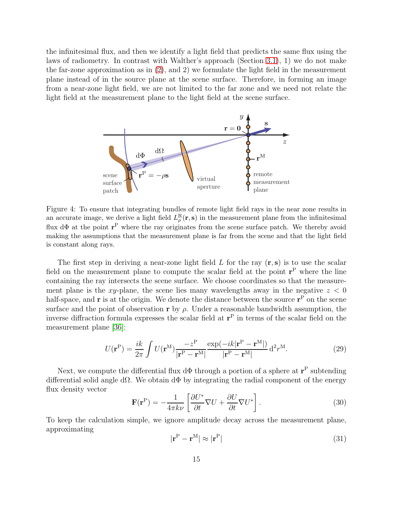the infinitesimal flux, and then we identify a light field that predicts the same flux using the laws of radiometry. In contrast with Walther's approach (Section [3.1\)](#page-4-0), 1) we do not make the far-zone approximation as in [\(2\)](#page-4-3), and 2) we formulate the light field in the measurement plane instead of in the source plane at the scene surface. Therefore, in forming an image from a near-zone light field, we are not limited to the far zone and we need not relate the light field at the measurement plane to the light field at the scene surface.



<span id="page-14-0"></span>Figure 4: To ensure that integrating bundles of remote light field rays in the near zone results in an accurate image, we derive a light field  $L_{\rho}^{\rm R}$  ${}_{\rho}^{\rm R}({\bf r},{\bf s})$  in the measurement plane from the infinitesimal flux dΦ at the point r <sup>P</sup> where the ray originates from the scene surface patch. We thereby avoid making the assumptions that the measurement plane is far from the scene and that the light field is constant along rays.

The first step in deriving a near-zone light field  $L$  for the ray  $(\mathbf{r}, \mathbf{s})$  is to use the scalar field on the measurement plane to compute the scalar field at the point  $r<sup>P</sup>$  where the line containing the ray intersects the scene surface. We choose coordinates so that the measurement plane is the xy-plane, the scene lies many wavelengths away in the negative  $z < 0$ half-space, and  $\bf{r}$  is at the origin. We denote the distance between the source  $\bf{r}^P$  on the scene surface and the point of observation r by  $\rho$ . Under a reasonable bandwidth assumption, the inverse diffraction formula expresses the scalar field at  $r<sup>P</sup>$  in terms of the scalar field on the measurement plane [\[36\]](#page-23-11):

<span id="page-14-1"></span>
$$
U(\mathbf{r}^{\mathrm{P}}) = \frac{ik}{2\pi} \int U(\mathbf{r}^{\mathrm{M}}) \frac{-z^{\mathrm{P}}}{|\mathbf{r}^{\mathrm{P}} - \mathbf{r}^{\mathrm{M}}|} \frac{\exp(-ik|\mathbf{r}^{\mathrm{P}} - \mathbf{r}^{\mathrm{M}}|)}{|\mathbf{r}^{\mathrm{P}} - \mathbf{r}^{\mathrm{M}}|} \mathrm{d}^{2} r^{\mathrm{M}}.
$$
 (29)

Next, we compute the differential flux  $d\Phi$  through a portion of a sphere at  $\mathbf{r}^{\text{P}}$  subtending differential solid angle d $\Omega$ . We obtain d $\Phi$  by integrating the radial component of the energy flux density vector

<span id="page-14-2"></span>
$$
\mathbf{F}(\mathbf{r}^{\mathbf{P}}) = -\frac{1}{4\pi k\nu} \left[ \frac{\partial U^*}{\partial t} \nabla U + \frac{\partial U}{\partial t} \nabla U^* \right]. \tag{30}
$$

To keep the calculation simple, we ignore amplitude decay across the measurement plane, approximating

$$
|\mathbf{r}^{\mathrm{P}} - \mathbf{r}^{\mathrm{M}}| \approx |\mathbf{r}^{\mathrm{P}}| \tag{31}
$$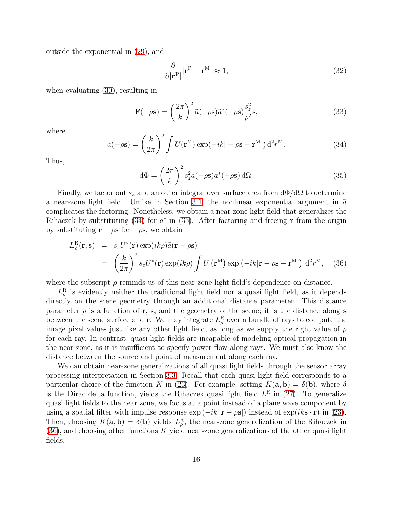outside the exponential in [\(29\)](#page-14-1), and

$$
\frac{\partial}{\partial |\mathbf{r}^{\mathbf{P}}|} |\mathbf{r}^{\mathbf{P}} - \mathbf{r}^{\mathbf{M}}| \approx 1,\tag{32}
$$

when evaluating [\(30\)](#page-14-2), resulting in

$$
\mathbf{F}(-\rho \mathbf{s}) = \left(\frac{2\pi}{k}\right)^2 \tilde{a}(-\rho \mathbf{s}) \tilde{a}^*(-\rho \mathbf{s}) \frac{s_z^2}{\rho^2} \mathbf{s},\tag{33}
$$

where

<span id="page-15-0"></span>
$$
\tilde{a}(-\rho \mathbf{s}) = \left(\frac{k}{2\pi}\right)^2 \int U(\mathbf{r}^{\mathbf{M}}) \exp(-ik|-\rho \mathbf{s} - \mathbf{r}^{\mathbf{M}}|) d^2 r^{\mathbf{M}}.
$$
\n(34)

Thus,

<span id="page-15-1"></span>
$$
d\Phi = \left(\frac{2\pi}{k}\right)^2 s_z^2 \tilde{a}(-\rho s) \tilde{a}^*(-\rho s) d\Omega.
$$
 (35)

Finally, we factor out  $s_z$  and an outer integral over surface area from  $d\Phi/d\Omega$  to determine a near-zone light field. Unlike in Section [3.1,](#page-4-0) the nonlinear exponential argument in  $\tilde{a}$ complicates the factoring. Nonetheless, we obtain a near-zone light field that generalizes the Rihaczek by substituting [\(34\)](#page-15-0) for  $\tilde{a}^*$  in [\(35\)](#page-15-1). After factoring and freeing **r** from the origin by substituting  $\mathbf{r} - \rho \mathbf{s}$  for  $-\rho \mathbf{s}$ , we obtain

<span id="page-15-2"></span>
$$
L_{\rho}^{\text{R}}(\mathbf{r}, \mathbf{s}) = s_z U^*(\mathbf{r}) \exp(ik\rho) \tilde{a}(\mathbf{r} - \rho \mathbf{s})
$$
  
=  $\left(\frac{k}{2\pi}\right)^2 s_z U^*(\mathbf{r}) \exp(ik\rho) \int U(\mathbf{r}^{\text{M}}) \exp(-ik|\mathbf{r} - \rho \mathbf{s} - \mathbf{r}^{\text{M}}|) d^2 r^{\text{M}},$  (36)

where the subscript  $\rho$  reminds us of this near-zone light field's dependence on distance.

 $L^{\rm R}_{\rho}$  $\frac{\mu}{\rho}$  is evidently neither the traditional light field nor a quasi light field, as it depends directly on the scene geometry through an additional distance parameter. This distance parameter  $\rho$  is a function of r, s, and the geometry of the scene; it is the distance along s between the scene surface and **r**. We may integrate  $L^{\mathbf{R}}_{\rho}$  $\frac{R}{\rho}$  over a bundle of rays to compute the image pixel values just like any other light field, as long as we supply the right value of  $\rho$ for each ray. In contrast, quasi light fields are incapable of modeling optical propagation in the near zone, as it is insufficient to specify power flow along rays. We must also know the distance between the source and point of measurement along each ray.

We can obtain near-zone generalizations of all quasi light fields through the sensor array processing interpretation in Section [3.3.](#page-7-0) Recall that each quasi light field corresponds to a particular choice of the function K in [\(23\)](#page-8-1). For example, setting  $K(\mathbf{a}, \mathbf{b}) = \delta(\mathbf{b})$ , where  $\delta$ is the Dirac delta function, yields the Rihaczek quasi light field  $L^R$  in [\(27\)](#page-11-2). To generalize quasi light fields to the near zone, we focus at a point instead of a plane wave component by using a spatial filter with impulse response  $\exp(-ik|\mathbf{r}-\rho\mathbf{s}|)$  instead of  $\exp(ik\mathbf{s}\cdot\mathbf{r})$  in [\(23\)](#page-8-1). Then, choosing  $K(\mathbf{a}, \mathbf{b}) = \delta(\mathbf{b})$  yields  $L^{\mathbf{R}}_{\rho}$  $_{\rho}^{\text{R}}$ , the near-zone generalization of the Rihaczek in  $(36)$ , and choosing other functions K yield near-zone generalizations of the other quasi light fields.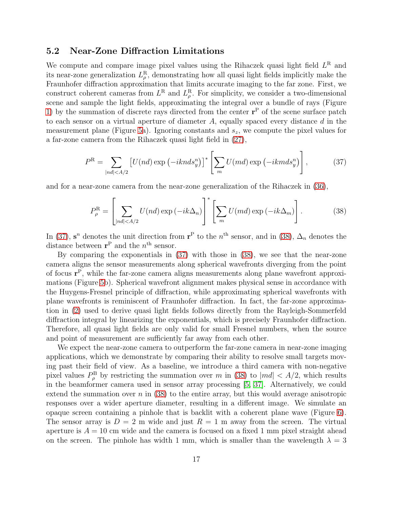#### <span id="page-16-0"></span>5.2 Near-Zone Diffraction Limitations

We compute and compare image pixel values using the Rihaczek quasi light field  $L^R$  and its near-zone generalization  $L^{\text{R}}_{\rho}$  $_{\rho}^{\text{R}}$ , demonstrating how all quasi light fields implicitly make the Fraunhofer diffraction approximation that limits accurate imaging to the far zone. First, we construct coherent cameras from  $L^R$  and  $L^R_\rho$  $_{\rho}^{\text{R}}$ . For simplicity, we consider a two-dimensional scene and sample the light fields, approximating the integral over a bundle of rays (Figure [1\)](#page-3-1) by the summation of discrete rays directed from the center  $\mathbf{r}^{\text{P}}$  of the scene surface patch to each sensor on a virtual aperture of diameter  $A$ , equally spaced every distance  $d$  in the measurement plane (Figure [5a](#page-17-0)). Ignoring constants and  $s_z$ , we compute the pixel values for a far-zone camera from the Rihaczek quasi light field in [\(27\)](#page-11-2),

<span id="page-16-1"></span>
$$
P^{\mathcal{R}} = \sum_{|nd| < A/2} \left[ U(nd) \exp\left(-iknds_y^n\right) \right]^* \left[ \sum_m U(md) \exp\left(-ikmds_y^n\right) \right],\tag{37}
$$

and for a near-zone camera from the near-zone generalization of the Rihaczek in [\(36\)](#page-15-2),

<span id="page-16-2"></span>
$$
P_{\rho}^{\mathcal{R}} = \left[ \sum_{|nd| < A/2} U(nd) \exp\left(-ik\Delta_n\right) \right]^* \left[ \sum_{m} U(md) \exp\left(-ik\Delta_m\right) \right]. \tag{38}
$$

In [\(37\)](#page-16-1),  $\mathbf{s}^n$  denotes the unit direction from  $\mathbf{r}^{\mathrm{P}}$  to the  $n^{\mathrm{th}}$  sensor, and in [\(38\)](#page-16-2),  $\Delta_n$  denotes the distance between  $\mathbf{r}^{\mathrm{P}}$  and the  $n^{\mathrm{th}}$  sensor.

By comparing the exponentials in [\(37\)](#page-16-1) with those in [\(38\)](#page-16-2), we see that the near-zone camera aligns the sensor measurements along spherical wavefronts diverging from the point of focus r P , while the far-zone camera aligns measurements along plane wavefront approximations (Figure [5b](#page-17-0)). Spherical wavefront alignment makes physical sense in accordance with the Huygens-Fresnel principle of diffraction, while approximating spherical wavefronts with plane wavefronts is reminiscent of Fraunhofer diffraction. In fact, the far-zone approximation in [\(2\)](#page-4-3) used to derive quasi light fields follows directly from the Rayleigh-Sommerfeld diffraction integral by linearizing the exponentials, which is precisely Fraunhofer diffraction. Therefore, all quasi light fields are only valid for small Fresnel numbers, when the source and point of measurement are sufficiently far away from each other.

We expect the near-zone camera to outperform the far-zone camera in near-zone imaging applications, which we demonstrate by comparing their ability to resolve small targets moving past their field of view. As a baseline, we introduce a third camera with non-negative pixel values  $P_{\rho}^{\rm B}$  by restricting the summation over m in [\(38\)](#page-16-2) to  $|md| < A/2$ , which results in the beamformer camera used in sensor array processing [\[5,](#page-21-4) [37\]](#page-23-12). Alternatively, we could extend the summation over  $n$  in [\(38\)](#page-16-2) to the entire array, but this would average anisotropic responses over a wider aperture diameter, resulting in a different image. We simulate an opaque screen containing a pinhole that is backlit with a coherent plane wave (Figure [6\)](#page-18-1). The sensor array is  $D = 2$  m wide and just  $R = 1$  m away from the screen. The virtual aperture is  $A = 10$  cm wide and the camera is focused on a fixed 1 mm pixel straight ahead on the screen. The pinhole has width 1 mm, which is smaller than the wavelength  $\lambda = 3$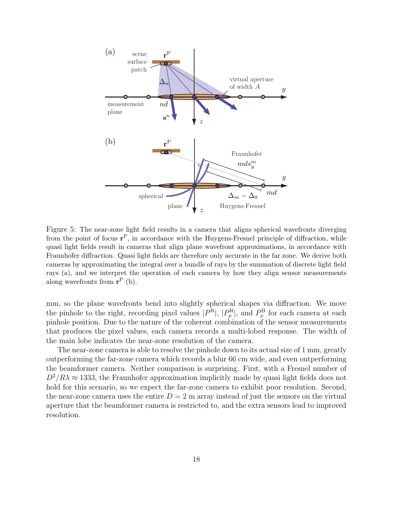

<span id="page-17-0"></span>Figure 5: The near-zone light field results in a camera that aligns spherical wavefronts diverging from the point of focus  $r^P$ , in accordance with the Huygens-Fresnel principle of diffraction, while quasi light fields result in cameras that align plane wavefront approximations, in accordance with Fraunhofer diffraction. Quasi light fields are therefore only accurate in the far zone. We derive both cameras by approximating the integral over a bundle of rays by the summation of discrete light field rays (a), and we interpret the operation of each camera by how they align sensor measurements along wavefronts from  $\mathbf{r}^{\mathrm{P}}$  (b).

mm, so the plane wavefronts bend into slightly spherical shapes via diffraction. We move the pinhole to the right, recording pixel values  $|P^{\text{R}}|, |P^{\text{R}}_{\rho}|$  $P_\rho^{\rm R}$ , and  $P_\rho^{\rm B}$  $_{\rho}^{\rm B}$  for each camera at each pinhole position. Due to the nature of the coherent combination of the sensor measurements that produces the pixel values, each camera records a multi-lobed response. The width of the main lobe indicates the near-zone resolution of the camera.

The near-zone camera is able to resolve the pinhole down to its actual size of 1 mm, greatly outperforming the far-zone camera which records a blur 66 cm wide, and even outperforming the beamformer camera. Neither comparison is surprising. First, with a Fresnel number of  $D^2/R\lambda \approx 1333$ , the Fraunhofer approximation implicitly made by quasi light fields does not hold for this scenario, so we expect the far-zone camera to exhibit poor resolution. Second, the near-zone camera uses the entire  $D = 2$  m array instead of just the sensors on the virtual aperture that the beamformer camera is restricted to, and the extra sensors lead to improved resolution.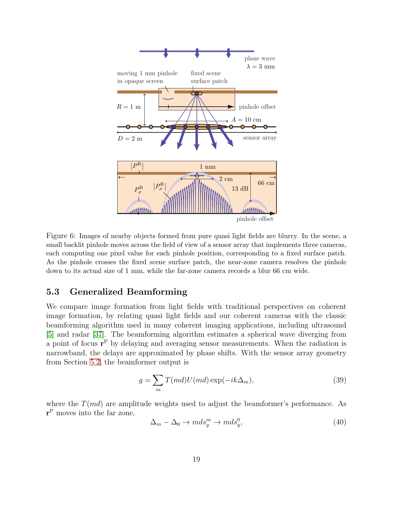

<span id="page-18-1"></span>Figure 6: Images of nearby objects formed from pure quasi light fields are blurry. In the scene, a small backlit pinhole moves across the field of view of a sensor array that implements three cameras, each computing one pixel value for each pinhole position, corresponding to a fixed surface patch. As the pinhole crosses the fixed scene surface patch, the near-zone camera resolves the pinhole down to its actual size of 1 mm, while the far-zone camera records a blur 66 cm wide.

### <span id="page-18-0"></span>5.3 Generalized Beamforming

We compare image formation from light fields with traditional perspectives on coherent image formation, by relating quasi light fields and our coherent cameras with the classic beamforming algorithm used in many coherent imaging applications, including ultrasound [\[5\]](#page-21-4) and radar [\[37\]](#page-23-12). The beamforming algorithm estimates a spherical wave diverging from a point of focus  $\mathbf{r}^{\mathrm{P}}$  by delaying and averaging sensor measurements. When the radiation is narrowband, the delays are approximated by phase shifts. With the sensor array geometry from Section [5.2,](#page-16-0) the beamformer output is

<span id="page-18-2"></span>
$$
g = \sum_{m} T(md)U(md) \exp(-ik\Delta_m), \tag{39}
$$

where the  $T(md)$  are amplitude weights used to adjust the beamformer's performance. As r <sup>P</sup> moves into the far zone,

$$
\Delta_m - \Delta_0 \to m ds_y^m \to m ds_y^0,\tag{40}
$$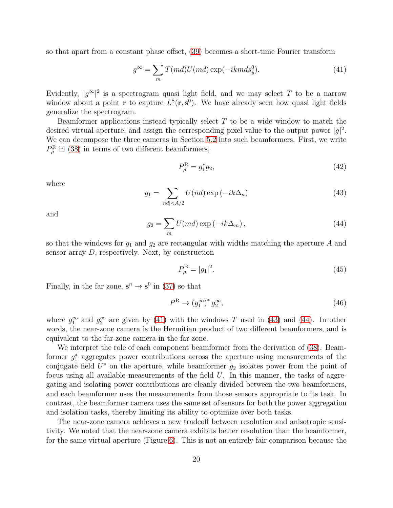so that apart from a constant phase offset, [\(39\)](#page-18-2) becomes a short-time Fourier transform

<span id="page-19-0"></span>
$$
g^{\infty} = \sum_{m} T(md)U(md) \exp(-ikm ds_y^0).
$$
 (41)

Evidently,  $|g^{\infty}|^2$  is a spectrogram quasi light field, and we may select T to be a narrow window about a point **r** to capture  $L^{S}(\mathbf{r}, \mathbf{s}^{0})$ . We have already seen how quasi light fields generalize the spectrogram.

Beamformer applications instead typically select  $T$  to be a wide window to match the desired virtual aperture, and assign the corresponding pixel value to the output power  $|g|^2$ . We can decompose the three cameras in Section [5.2](#page-16-0) into such beamformers. First, we write  $P^{\rm R}_{\rho}$  $\rho_{\rho}^{\rm R}$  in [\(38\)](#page-16-2) in terms of two different beamformers,

$$
P_{\rho}^{\rm R} = g_1^* g_2,\tag{42}
$$

where

<span id="page-19-1"></span>
$$
g_1 = \sum_{|nd| < A/2} U(nd) \exp(-ik\Delta_n)
$$
 (43)

and

<span id="page-19-2"></span>
$$
g_2 = \sum_m U(md) \exp(-ik\Delta_m), \qquad (44)
$$

so that the windows for  $g_1$  and  $g_2$  are rectangular with widths matching the aperture A and sensor array  $D$ , respectively. Next, by construction

$$
P_{\rho}^{\rm B} = |g_1|^2. \tag{45}
$$

Finally, in the far zone,  $\mathbf{s}^n \to \mathbf{s}^0$  in [\(37\)](#page-16-1) so that

$$
P^R \to (g_1^{\infty})^* g_2^{\infty}, \tag{46}
$$

where  $g_1^{\infty}$  and  $g_2^{\infty}$  are given by [\(41\)](#page-19-0) with the windows T used in [\(43\)](#page-19-1) and [\(44\)](#page-19-2). In other words, the near-zone camera is the Hermitian product of two different beamformers, and is equivalent to the far-zone camera in the far zone.

We interpret the role of each component beamformer from the derivation of [\(38\)](#page-16-2). Beamformer  $g_1^*$  aggregates power contributions across the aperture using measurements of the conjugate field  $U^*$  on the aperture, while beamformer  $g_2$  isolates power from the point of focus using all available measurements of the field  $U$ . In this manner, the tasks of aggregating and isolating power contributions are cleanly divided between the two beamformers, and each beamformer uses the measurements from those sensors appropriate to its task. In contrast, the beamformer camera uses the same set of sensors for both the power aggregation and isolation tasks, thereby limiting its ability to optimize over both tasks.

The near-zone camera achieves a new tradeoff between resolution and anisotropic sensitivity. We noted that the near-zone camera exhibits better resolution than the beamformer, for the same virtual aperture (Figure [6\)](#page-18-1). This is not an entirely fair comparison because the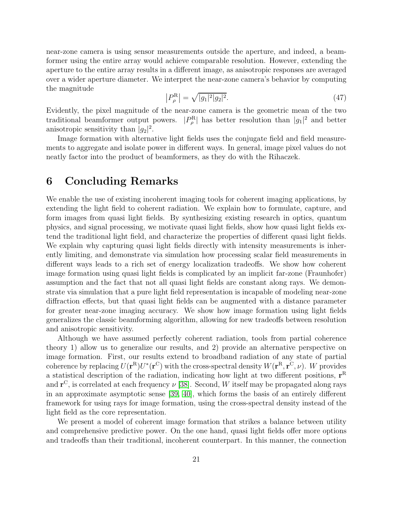near-zone camera is using sensor measurements outside the aperture, and indeed, a beamformer using the entire array would achieve comparable resolution. However, extending the aperture to the entire array results in a different image, as anisotropic responses are averaged over a wider aperture diameter. We interpret the near-zone camera's behavior by computing the magnitude

$$
\left|P_{\rho}^{\mathcal{R}}\right| = \sqrt{|g_1|^2 |g_2|^2}.\tag{47}
$$

Evidently, the pixel magnitude of the near-zone camera is the geometric mean of the two traditional beamformer output powers.  $|P_a^{\rm R}|$  $|\rho_{\rho}|^{\text{R}}$  has better resolution than  $|g_1|^2$  and better anisotropic sensitivity than  $|g_2|^2$ .

Image formation with alternative light fields uses the conjugate field and field measurements to aggregate and isolate power in different ways. In general, image pixel values do not neatly factor into the product of beamformers, as they do with the Rihaczek.

### <span id="page-20-0"></span>6 Concluding Remarks

We enable the use of existing incoherent imaging tools for coherent imaging applications, by extending the light field to coherent radiation. We explain how to formulate, capture, and form images from quasi light fields. By synthesizing existing research in optics, quantum physics, and signal processing, we motivate quasi light fields, show how quasi light fields extend the traditional light field, and characterize the properties of different quasi light fields. We explain why capturing quasi light fields directly with intensity measurements is inherently limiting, and demonstrate via simulation how processing scalar field measurements in different ways leads to a rich set of energy localization tradeoffs. We show how coherent image formation using quasi light fields is complicated by an implicit far-zone (Fraunhofer) assumption and the fact that not all quasi light fields are constant along rays. We demonstrate via simulation that a pure light field representation is incapable of modeling near-zone diffraction effects, but that quasi light fields can be augmented with a distance parameter for greater near-zone imaging accuracy. We show how image formation using light fields generalizes the classic beamforming algorithm, allowing for new tradeoffs between resolution and anisotropic sensitivity.

Although we have assumed perfectly coherent radiation, tools from partial coherence theory 1) allow us to generalize our results, and 2) provide an alternative perspective on image formation. First, our results extend to broadband radiation of any state of partial coherence by replacing  $U(\mathbf{r}^{R})U^*(\mathbf{r}^{C})$  with the cross-spectral density  $W(\mathbf{r}^{R},\mathbf{r}^{C},\nu)$ . W provides a statistical description of the radiation, indicating how light at two different positions,  $r<sup>R</sup>$ and  $\mathbf{r}^{\text{C}}$ , is correlated at each frequency  $\nu$  [\[38\]](#page-23-13). Second, W itself may be propagated along rays in an approximate asymptotic sense [\[39,](#page-23-14) [40\]](#page-23-15), which forms the basis of an entirely different framework for using rays for image formation, using the cross-spectral density instead of the light field as the core representation.

We present a model of coherent image formation that strikes a balance between utility and comprehensive predictive power. On the one hand, quasi light fields offer more options and tradeoffs than their traditional, incoherent counterpart. In this manner, the connection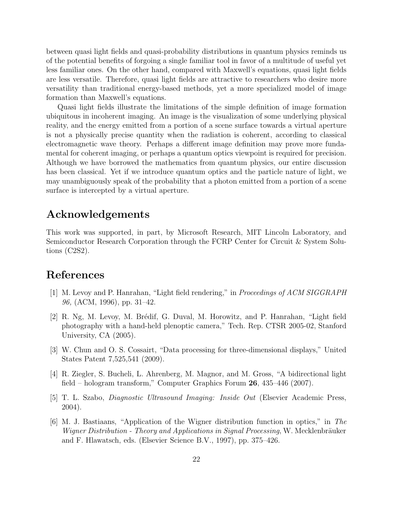between quasi light fields and quasi-probability distributions in quantum physics reminds us of the potential benefits of forgoing a single familiar tool in favor of a multitude of useful yet less familiar ones. On the other hand, compared with Maxwell's equations, quasi light fields are less versatile. Therefore, quasi light fields are attractive to researchers who desire more versatility than traditional energy-based methods, yet a more specialized model of image formation than Maxwell's equations.

Quasi light fields illustrate the limitations of the simple definition of image formation ubiquitous in incoherent imaging. An image is the visualization of some underlying physical reality, and the energy emitted from a portion of a scene surface towards a virtual aperture is not a physically precise quantity when the radiation is coherent, according to classical electromagnetic wave theory. Perhaps a different image definition may prove more fundamental for coherent imaging, or perhaps a quantum optics viewpoint is required for precision. Although we have borrowed the mathematics from quantum physics, our entire discussion has been classical. Yet if we introduce quantum optics and the particle nature of light, we may unambiguously speak of the probability that a photon emitted from a portion of a scene surface is intercepted by a virtual aperture.

# Acknowledgements

This work was supported, in part, by Microsoft Research, MIT Lincoln Laboratory, and Semiconductor Research Corporation through the FCRP Center for Circuit & System Solutions (C2S2).

### <span id="page-21-0"></span>References

- [1] M. Levoy and P. Hanrahan, "Light field rendering," in *Proceedings of ACM SIGGRAPH 96,* (ACM, 1996), pp. 31–42.
- <span id="page-21-1"></span>[2] R. Ng, M. Levoy, M. Brédif, G. Duval, M. Horowitz, and P. Hanrahan, "Light field photography with a hand-held plenoptic camera," Tech. Rep. CTSR 2005-02, Stanford University, CA (2005).
- <span id="page-21-2"></span>[3] W. Chun and O. S. Cossairt, "Data processing for three-dimensional displays," United States Patent 7,525,541 (2009).
- <span id="page-21-3"></span>[4] R. Ziegler, S. Bucheli, L. Ahrenberg, M. Magnor, and M. Gross, "A bidirectional light field – hologram transform," Computer Graphics Forum 26, 435–446 (2007).
- <span id="page-21-4"></span>[5] T. L. Szabo, *Diagnostic Ultrasound Imaging: Inside Out* (Elsevier Academic Press, 2004).
- <span id="page-21-5"></span>[6] M. J. Bastiaans, "Application of the Wigner distribution function in optics," in *The Wigner Distribution - Theory and Applications in Signal Processing*, W. Mecklenbräuker and F. Hlawatsch, eds. (Elsevier Science B.V., 1997), pp. 375–426.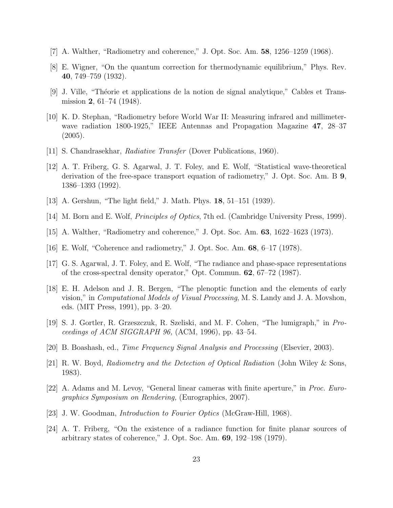- <span id="page-22-1"></span><span id="page-22-0"></span>[7] A. Walther, "Radiometry and coherence," J. Opt. Soc. Am. 58, 1256–1259 (1968).
- <span id="page-22-2"></span>[8] E. Wigner, "On the quantum correction for thermodynamic equilibrium," Phys. Rev. 40, 749–759 (1932).
- <span id="page-22-3"></span>[9] J. Ville, "Th´eorie et applications de la notion de signal analytique," Cables et Transmission **2**, 61–74 (1948).
- [10] K. D. Stephan, "Radiometry before World War II: Measuring infrared and millimeterwave radiation 1800-1925," IEEE Antennas and Propagation Magazine 47, 28–37  $(2005).$
- <span id="page-22-5"></span><span id="page-22-4"></span>[11] S. Chandrasekhar, *Radiative Transfer* (Dover Publications, 1960).
- [12] A. T. Friberg, G. S. Agarwal, J. T. Foley, and E. Wolf, "Statistical wave-theoretical derivation of the free-space transport equation of radiometry," J. Opt. Soc. Am. B 9, 1386–1393 (1992).
- <span id="page-22-7"></span><span id="page-22-6"></span>[13] A. Gershun, "The light field," J. Math. Phys. 18, 51–151 (1939).
- <span id="page-22-8"></span>[14] M. Born and E. Wolf, *Principles of Optics*, 7th ed. (Cambridge University Press, 1999).
- <span id="page-22-9"></span>[15] A. Walther, "Radiometry and coherence," J. Opt. Soc. Am. 63, 1622–1623 (1973).
- <span id="page-22-10"></span>[16] E. Wolf, "Coherence and radiometry," J. Opt. Soc. Am. 68, 6–17 (1978).
- [17] G. S. Agarwal, J. T. Foley, and E. Wolf, "The radiance and phase-space representations of the cross-spectral density operator," Opt. Commun. 62, 67–72 (1987).
- <span id="page-22-11"></span>[18] E. H. Adelson and J. R. Bergen, "The plenoptic function and the elements of early vision," in *Computational Models of Visual Processing*, M. S. Landy and J. A. Movshon, eds. (MIT Press, 1991), pp. 3–20.
- <span id="page-22-12"></span>[19] S. J. Gortler, R. Grzeszczuk, R. Szeliski, and M. F. Cohen, "The lumigraph," in *Proceedings of ACM SIGGRAPH 96,* (ACM, 1996), pp. 43–54.
- <span id="page-22-14"></span><span id="page-22-13"></span>[20] B. Boashash, ed., *Time Frequency Signal Analysis and Processing* (Elsevier, 2003).
- [21] R. W. Boyd, *Radiometry and the Detection of Optical Radiation* (John Wiley & Sons, 1983).
- <span id="page-22-15"></span>[22] A. Adams and M. Levoy, "General linear cameras with finite aperture," in *Proc. Eurographics Symposium on Rendering,* (Eurographics, 2007).
- <span id="page-22-17"></span><span id="page-22-16"></span>[23] J. W. Goodman, *Introduction to Fourier Optics* (McGraw-Hill, 1968).
- [24] A. T. Friberg, "On the existence of a radiance function for finite planar sources of arbitrary states of coherence," J. Opt. Soc. Am.  $69$ , 192–198 (1979).